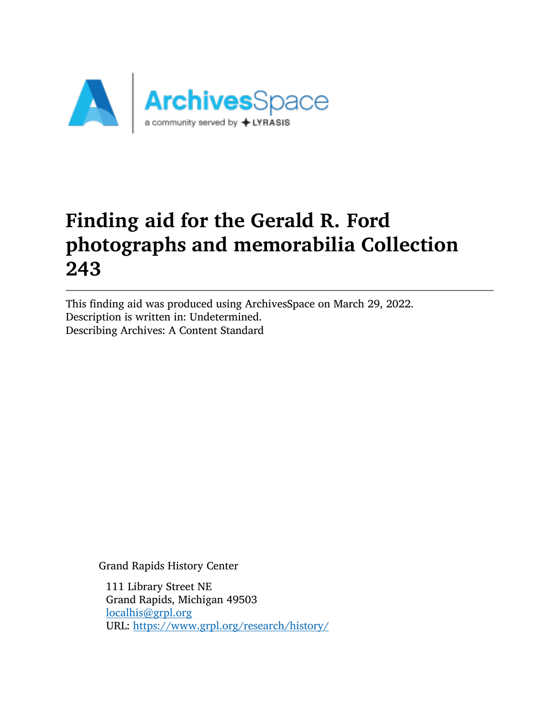

# Finding aid for the Gerald R. Ford photographs and memorabilia Collection 243

This finding aid was produced using ArchivesSpace on March 29, 2022. Description is written in: Undetermined. Describing Archives: A Content Standard

Grand Rapids History Center

111 Library Street NE Grand Rapids, Michigan 49503 [localhis@grpl.org](mailto:localhis@grpl.org) URL: <https://www.grpl.org/research/history/>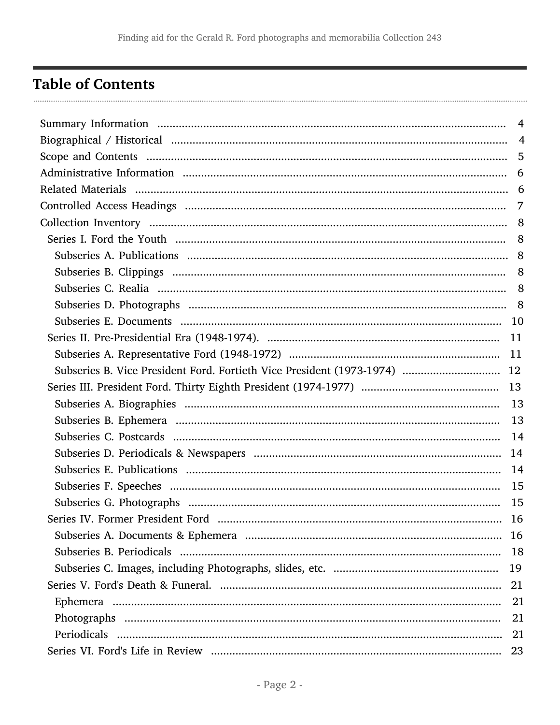## <span id="page-1-0"></span>**Table of Contents**

|                                                                           | $\overline{4}$ |
|---------------------------------------------------------------------------|----------------|
|                                                                           |                |
|                                                                           | 5              |
|                                                                           |                |
|                                                                           |                |
|                                                                           |                |
|                                                                           |                |
|                                                                           |                |
|                                                                           |                |
|                                                                           |                |
|                                                                           |                |
|                                                                           |                |
|                                                                           |                |
|                                                                           |                |
|                                                                           |                |
| Subseries B. Vice President Ford. Fortieth Vice President (1973-1974)  12 |                |
|                                                                           |                |
|                                                                           |                |
|                                                                           |                |
|                                                                           |                |
|                                                                           |                |
|                                                                           |                |
|                                                                           | 15             |
|                                                                           | -15            |
|                                                                           |                |
|                                                                           |                |
|                                                                           | 18             |
|                                                                           | 19             |
|                                                                           | 21             |
|                                                                           | 21             |
|                                                                           | 21             |
|                                                                           | 21             |
|                                                                           | 23             |
|                                                                           |                |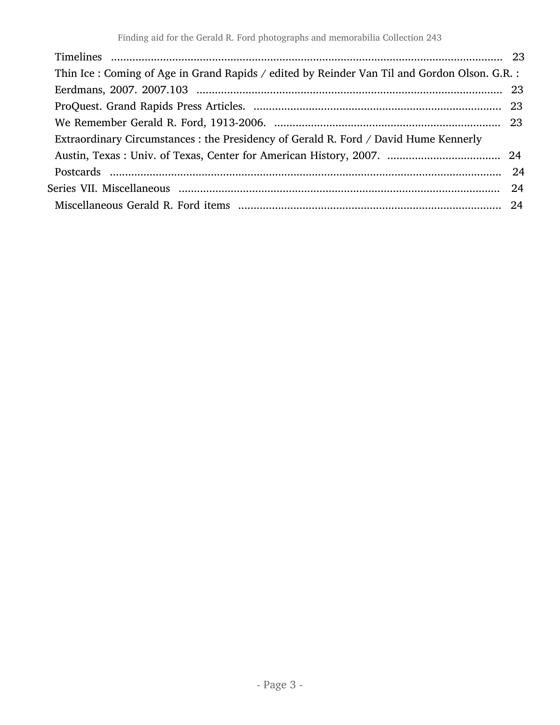| Thin Ice : Coming of Age in Grand Rapids / edited by Reinder Van Til and Gordon Olson. G.R. : |  |
|-----------------------------------------------------------------------------------------------|--|
|                                                                                               |  |
|                                                                                               |  |
|                                                                                               |  |
| Extraordinary Circumstances : the Presidency of Gerald R. Ford / David Hume Kennerly          |  |
|                                                                                               |  |
|                                                                                               |  |
|                                                                                               |  |
|                                                                                               |  |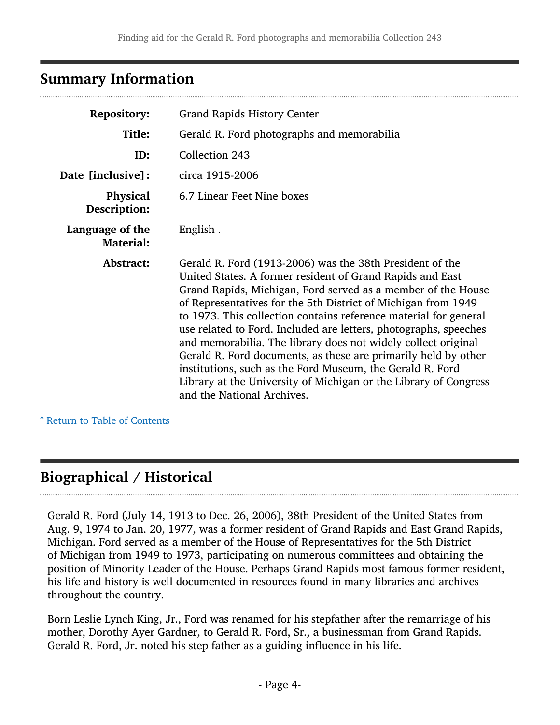## <span id="page-3-0"></span>Summary Information

| <b>Repository:</b>                              | <b>Grand Rapids History Center</b>                                                                                                                                                                                                                                                                                                                                                                                                                                                                                                                                                                                                                                                               |  |
|-------------------------------------------------|--------------------------------------------------------------------------------------------------------------------------------------------------------------------------------------------------------------------------------------------------------------------------------------------------------------------------------------------------------------------------------------------------------------------------------------------------------------------------------------------------------------------------------------------------------------------------------------------------------------------------------------------------------------------------------------------------|--|
| Title:                                          | Gerald R. Ford photographs and memorabilia                                                                                                                                                                                                                                                                                                                                                                                                                                                                                                                                                                                                                                                       |  |
| ID:                                             | Collection 243                                                                                                                                                                                                                                                                                                                                                                                                                                                                                                                                                                                                                                                                                   |  |
| Date [inclusive]:                               | circa 1915-2006                                                                                                                                                                                                                                                                                                                                                                                                                                                                                                                                                                                                                                                                                  |  |
| <b>Physical</b><br>Description:                 | 6.7 Linear Feet Nine boxes                                                                                                                                                                                                                                                                                                                                                                                                                                                                                                                                                                                                                                                                       |  |
| Language of the<br>English.<br><b>Material:</b> |                                                                                                                                                                                                                                                                                                                                                                                                                                                                                                                                                                                                                                                                                                  |  |
| Abstract:                                       | Gerald R. Ford (1913-2006) was the 38th President of the<br>United States. A former resident of Grand Rapids and East<br>Grand Rapids, Michigan, Ford served as a member of the House<br>of Representatives for the 5th District of Michigan from 1949<br>to 1973. This collection contains reference material for general<br>use related to Ford. Included are letters, photographs, speeches<br>and memorabilia. The library does not widely collect original<br>Gerald R. Ford documents, as these are primarily held by other<br>institutions, such as the Ford Museum, the Gerald R. Ford<br>Library at the University of Michigan or the Library of Congress<br>and the National Archives. |  |

^ [Return to Table of Contents](#page-1-0)

## <span id="page-3-1"></span>Biographical / Historical

Gerald R. Ford (July 14, 1913 to Dec. 26, 2006), 38th President of the United States from Aug. 9, 1974 to Jan. 20, 1977, was a former resident of Grand Rapids and East Grand Rapids, Michigan. Ford served as a member of the House of Representatives for the 5th District of Michigan from 1949 to 1973, participating on numerous committees and obtaining the position of Minority Leader of the House. Perhaps Grand Rapids most famous former resident, his life and history is well documented in resources found in many libraries and archives throughout the country.

Born Leslie Lynch King, Jr., Ford was renamed for his stepfather after the remarriage of his mother, Dorothy Ayer Gardner, to Gerald R. Ford, Sr., a businessman from Grand Rapids. Gerald R. Ford, Jr. noted his step father as a guiding influence in his life.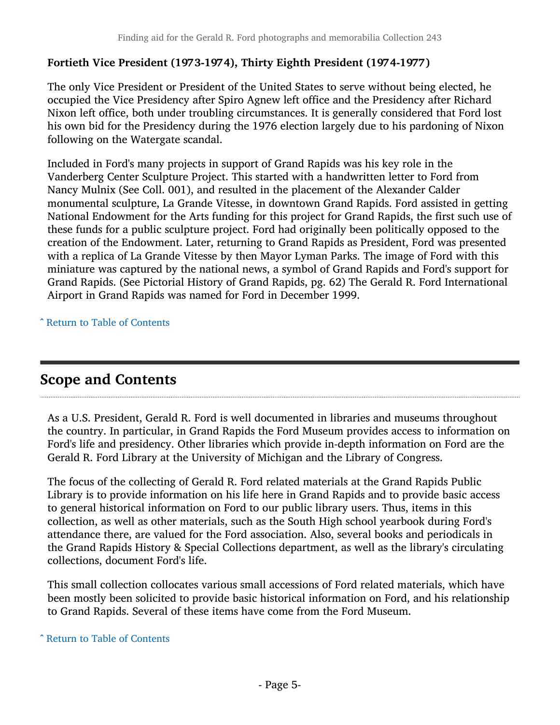### Fortieth Vice President (1973-1974), Thirty Eighth President (1974-1977)

The only Vice President or President of the United States to serve without being elected, he occupied the Vice Presidency after Spiro Agnew left office and the Presidency after Richard Nixon left office, both under troubling circumstances. It is generally considered that Ford lost his own bid for the Presidency during the 1976 election largely due to his pardoning of Nixon following on the Watergate scandal.

Included in Ford's many projects in support of Grand Rapids was his key role in the Vanderberg Center Sculpture Project. This started with a handwritten letter to Ford from Nancy Mulnix (See Coll. 001), and resulted in the placement of the Alexander Calder monumental sculpture, La Grande Vitesse, in downtown Grand Rapids. Ford assisted in getting National Endowment for the Arts funding for this project for Grand Rapids, the first such use of these funds for a public sculpture project. Ford had originally been politically opposed to the creation of the Endowment. Later, returning to Grand Rapids as President, Ford was presented with a replica of La Grande Vitesse by then Mayor Lyman Parks. The image of Ford with this miniature was captured by the national news, a symbol of Grand Rapids and Ford's support for Grand Rapids. (See Pictorial History of Grand Rapids, pg. 62) The Gerald R. Ford International Airport in Grand Rapids was named for Ford in December 1999.

^ [Return to Table of Contents](#page-1-0)

## <span id="page-4-0"></span>Scope and Contents

As a U.S. President, Gerald R. Ford is well documented in libraries and museums throughout the country. In particular, in Grand Rapids the Ford Museum provides access to information on Ford's life and presidency. Other libraries which provide in-depth information on Ford are the Gerald R. Ford Library at the University of Michigan and the Library of Congress.

The focus of the collecting of Gerald R. Ford related materials at the Grand Rapids Public Library is to provide information on his life here in Grand Rapids and to provide basic access to general historical information on Ford to our public library users. Thus, items in this collection, as well as other materials, such as the South High school yearbook during Ford's attendance there, are valued for the Ford association. Also, several books and periodicals in the Grand Rapids History & Special Collections department, as well as the library's circulating collections, document Ford's life.

This small collection collocates various small accessions of Ford related materials, which have been mostly been solicited to provide basic historical information on Ford, and his relationship to Grand Rapids. Several of these items have come from the Ford Museum.

^ [Return to Table of Contents](#page-1-0)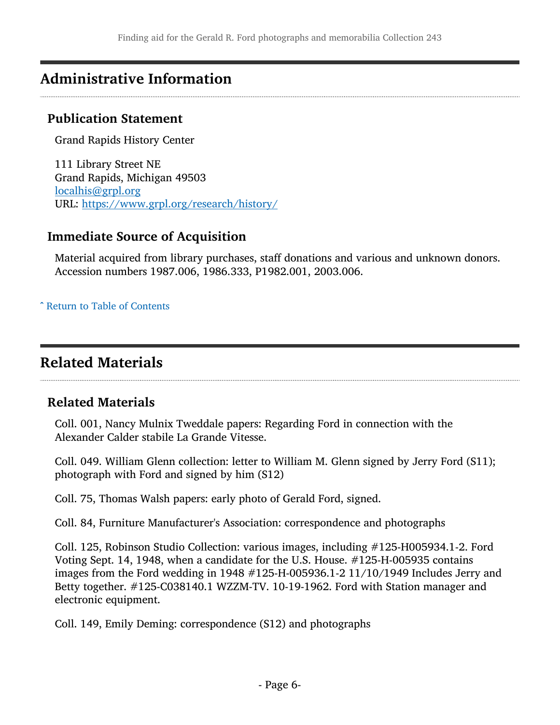## <span id="page-5-0"></span>Administrative Information

### Publication Statement

Grand Rapids History Center

111 Library Street NE Grand Rapids, Michigan 49503 [localhis@grpl.org](mailto:localhis@grpl.org) URL: <https://www.grpl.org/research/history/>

### Immediate Source of Acquisition

Material acquired from library purchases, staff donations and various and unknown donors. Accession numbers 1987.006, 1986.333, P1982.001, 2003.006.

^ [Return to Table of Contents](#page-1-0)

## <span id="page-5-1"></span>Related Materials

### Related Materials

Coll. 001, Nancy Mulnix Tweddale papers: Regarding Ford in connection with the Alexander Calder stabile La Grande Vitesse.

Coll. 049. William Glenn collection: letter to William M. Glenn signed by Jerry Ford (S11); photograph with Ford and signed by him (S12)

Coll. 75, Thomas Walsh papers: early photo of Gerald Ford, signed.

Coll. 84, Furniture Manufacturer's Association: correspondence and photographs

Coll. 125, Robinson Studio Collection: various images, including #125-H005934.1-2. Ford Voting Sept. 14, 1948, when a candidate for the U.S. House. #125-H-005935 contains images from the Ford wedding in 1948 #125-H-005936.1-2 11/10/1949 Includes Jerry and Betty together. #125-C038140.1 WZZM-TV. 10-19-1962. Ford with Station manager and electronic equipment.

Coll. 149, Emily Deming: correspondence (S12) and photographs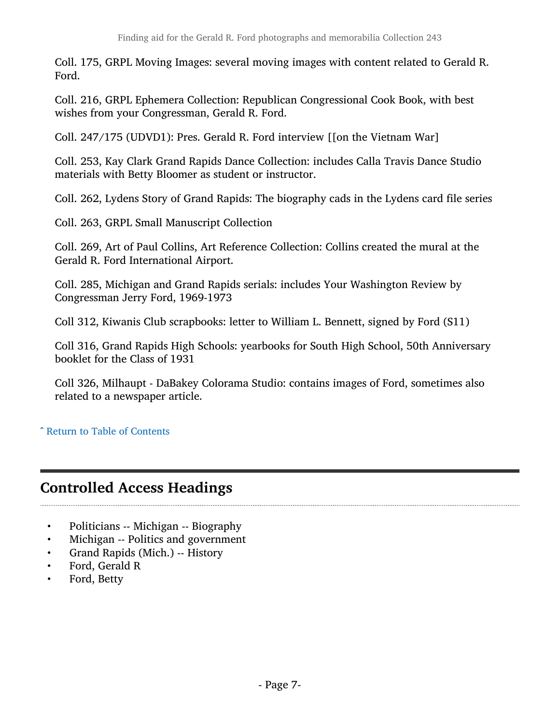Coll. 175, GRPL Moving Images: several moving images with content related to Gerald R. Ford.

Coll. 216, GRPL Ephemera Collection: Republican Congressional Cook Book, with best wishes from your Congressman, Gerald R. Ford.

Coll. 247/175 (UDVD1): Pres. Gerald R. Ford interview [[on the Vietnam War]

Coll. 253, Kay Clark Grand Rapids Dance Collection: includes Calla Travis Dance Studio materials with Betty Bloomer as student or instructor.

Coll. 262, Lydens Story of Grand Rapids: The biography cads in the Lydens card file series

Coll. 263, GRPL Small Manuscript Collection

Coll. 269, Art of Paul Collins, Art Reference Collection: Collins created the mural at the Gerald R. Ford International Airport.

Coll. 285, Michigan and Grand Rapids serials: includes Your Washington Review by Congressman Jerry Ford, 1969-1973

Coll 312, Kiwanis Club scrapbooks: letter to William L. Bennett, signed by Ford (S11)

Coll 316, Grand Rapids High Schools: yearbooks for South High School, 50th Anniversary booklet for the Class of 1931

Coll 326, Milhaupt - DaBakey Colorama Studio: contains images of Ford, sometimes also related to a newspaper article.

#### ^ [Return to Table of Contents](#page-1-0)

## <span id="page-6-0"></span>Controlled Access Headings

- Politicians -- Michigan -- Biography
- Michigan -- Politics and government
- Grand Rapids (Mich.) -- History
- Ford, Gerald R
- Ford, Betty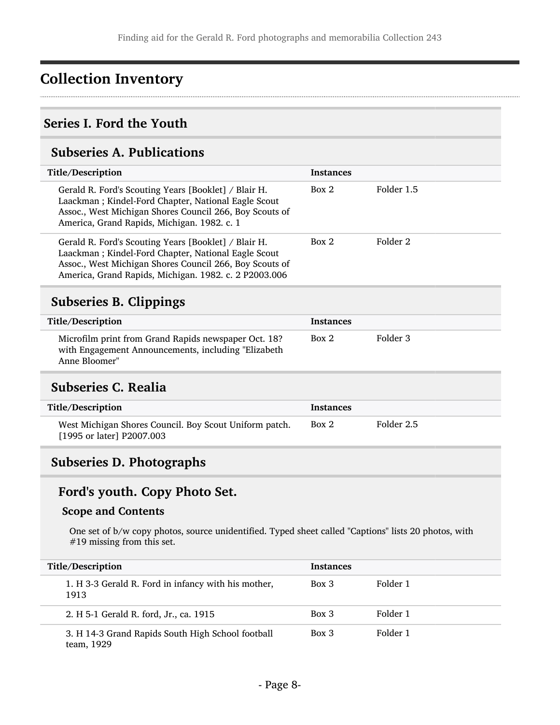## <span id="page-7-0"></span>Collection Inventory

### <span id="page-7-1"></span>Series I. Ford the Youth

## <span id="page-7-2"></span>Subseries A. Publications

<span id="page-7-3"></span>

| <b>Instances</b> |            |
|------------------|------------|
| Box 2            | Folder 1.5 |
| Box 2            | Folder 2   |
|                  |            |
| <b>Instances</b> |            |
| Box 2            | Folder 3   |
|                  |            |
| <b>Instances</b> |            |
| Box 2            | Folder 2.5 |
|                  |            |

## <span id="page-7-5"></span><span id="page-7-4"></span>Subseries D. Photographs

## Ford's youth. Copy Photo Set.

#### Scope and Contents

One set of b/w copy photos, source unidentified. Typed sheet called "Captions" lists 20 photos, with #19 missing from this set.

| Title/Description                                               | <b>Instances</b> |          |
|-----------------------------------------------------------------|------------------|----------|
| 1. H 3-3 Gerald R. Ford in infancy with his mother,<br>1913     | $Box$ 3          | Folder 1 |
| 2. H 5-1 Gerald R. ford, Jr., ca. 1915                          | $Box\ 3$         | Folder 1 |
| 3. H 14-3 Grand Rapids South High School football<br>team, 1929 | $Box\ 3$         | Folder 1 |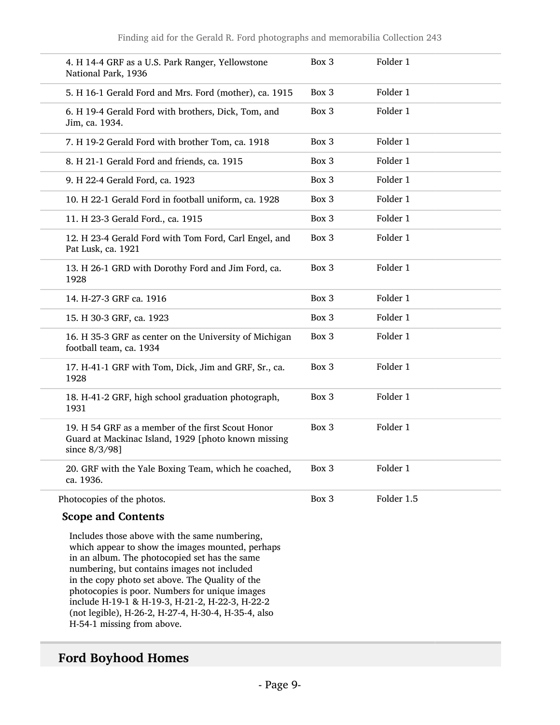| 4. H 14-4 GRF as a U.S. Park Ranger, Yellowstone<br>National Park, 1936                                                   | Box 3 | Folder 1   |
|---------------------------------------------------------------------------------------------------------------------------|-------|------------|
| 5. H 16-1 Gerald Ford and Mrs. Ford (mother), ca. 1915                                                                    | Box 3 | Folder 1   |
| 6. H 19-4 Gerald Ford with brothers, Dick, Tom, and<br>Jim, ca. 1934.                                                     | Box 3 | Folder 1   |
| 7. H 19-2 Gerald Ford with brother Tom, ca. 1918                                                                          | Box 3 | Folder 1   |
| 8. H 21-1 Gerald Ford and friends, ca. 1915                                                                               | Box 3 | Folder 1   |
| 9. H 22-4 Gerald Ford, ca. 1923                                                                                           | Box 3 | Folder 1   |
| 10. H 22-1 Gerald Ford in football uniform, ca. 1928                                                                      | Box 3 | Folder 1   |
| 11. H 23-3 Gerald Ford., ca. 1915                                                                                         | Box 3 | Folder 1   |
| 12. H 23-4 Gerald Ford with Tom Ford, Carl Engel, and<br>Pat Lusk, ca. 1921                                               | Box 3 | Folder 1   |
| 13. H 26-1 GRD with Dorothy Ford and Jim Ford, ca.<br>1928                                                                | Box 3 | Folder 1   |
| 14. H-27-3 GRF ca. 1916                                                                                                   | Box 3 | Folder 1   |
| 15. H 30-3 GRF, ca. 1923                                                                                                  | Box 3 | Folder 1   |
| 16. H 35-3 GRF as center on the University of Michigan<br>football team, ca. 1934                                         | Box 3 | Folder 1   |
| 17. H-41-1 GRF with Tom, Dick, Jim and GRF, Sr., ca.<br>1928                                                              | Box 3 | Folder 1   |
| 18. H-41-2 GRF, high school graduation photograph,<br>1931                                                                | Box 3 | Folder 1   |
| 19. H 54 GRF as a member of the first Scout Honor<br>Guard at Mackinac Island, 1929 [photo known missing<br>since 8/3/98] | Box 3 | Folder 1   |
| 20. GRF with the Yale Boxing Team, which he coached,<br>ca. 1936.                                                         | Box 3 | Folder 1   |
| Photocopies of the photos.                                                                                                | Box 3 | Folder 1.5 |

#### Scope and Contents

Includes those above with the same numbering, which appear to show the images mounted, perhaps in an album. The photocopied set has the same numbering, but contains images not included in the copy photo set above. The Quality of the photocopies is poor. Numbers for unique images include H-19-1 & H-19-3, H-21-2, H-22-3, H-22-2 (not legible), H-26-2, H-27-4, H-30-4, H-35-4, also H-54-1 missing from above.

### Ford Boyhood Homes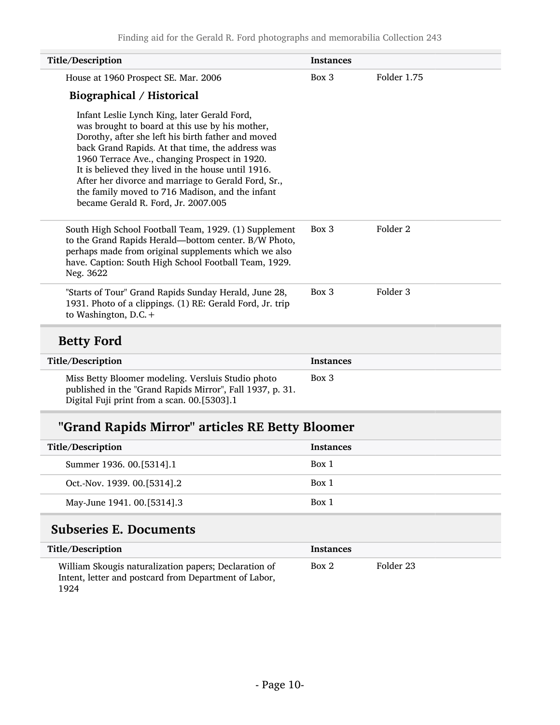| Title/Description                                                                                                                                                                                                                                                                                                                                                                                                                                                 | <b>Instances</b> |             |
|-------------------------------------------------------------------------------------------------------------------------------------------------------------------------------------------------------------------------------------------------------------------------------------------------------------------------------------------------------------------------------------------------------------------------------------------------------------------|------------------|-------------|
| House at 1960 Prospect SE. Mar. 2006                                                                                                                                                                                                                                                                                                                                                                                                                              | Box 3            | Folder 1.75 |
| Biographical / Historical                                                                                                                                                                                                                                                                                                                                                                                                                                         |                  |             |
| Infant Leslie Lynch King, later Gerald Ford,<br>was brought to board at this use by his mother,<br>Dorothy, after she left his birth father and moved<br>back Grand Rapids. At that time, the address was<br>1960 Terrace Ave., changing Prospect in 1920.<br>It is believed they lived in the house until 1916.<br>After her divorce and marriage to Gerald Ford, Sr.,<br>the family moved to 716 Madison, and the infant<br>became Gerald R. Ford, Jr. 2007.005 |                  |             |
| South High School Football Team, 1929. (1) Supplement<br>to the Grand Rapids Herald-bottom center. B/W Photo,<br>perhaps made from original supplements which we also<br>have. Caption: South High School Football Team, 1929.<br>Neg. 3622                                                                                                                                                                                                                       | Box 3            | Folder 2    |
| "Starts of Tour" Grand Rapids Sunday Herald, June 28,<br>1931. Photo of a clippings. (1) RE: Gerald Ford, Jr. trip<br>to Washington, $D.C. +$                                                                                                                                                                                                                                                                                                                     | Box 3            | Folder 3    |
| <b>Betty Ford</b>                                                                                                                                                                                                                                                                                                                                                                                                                                                 |                  |             |
| Title/Description                                                                                                                                                                                                                                                                                                                                                                                                                                                 | <b>Instances</b> |             |
| Miss Betty Bloomer modeling. Versluis Studio photo<br>published in the "Grand Rapids Mirror", Fall 1937, p. 31.<br>Digital Fuji print from a scan. 00.[5303].1                                                                                                                                                                                                                                                                                                    | Box 3            |             |

## "Grand Rapids Mirror" articles RE Betty Bloomer

| Title/Description           | <b>Instances</b> |
|-----------------------------|------------------|
| Summer 1936. 00.[5314].1    | Box 1            |
| Oct.-Nov. 1939. 00.[5314].2 | Box 1            |
| May-June 1941. 00.[5314].3  | Box 1            |

## <span id="page-9-0"></span>Subseries E. Documents

L

| Title/Description                                                                                                      | <b>Instances</b> |           |
|------------------------------------------------------------------------------------------------------------------------|------------------|-----------|
| William Skougis naturalization papers; Declaration of<br>Intent, letter and postcard from Department of Labor,<br>1924 | Box 2            | Folder 23 |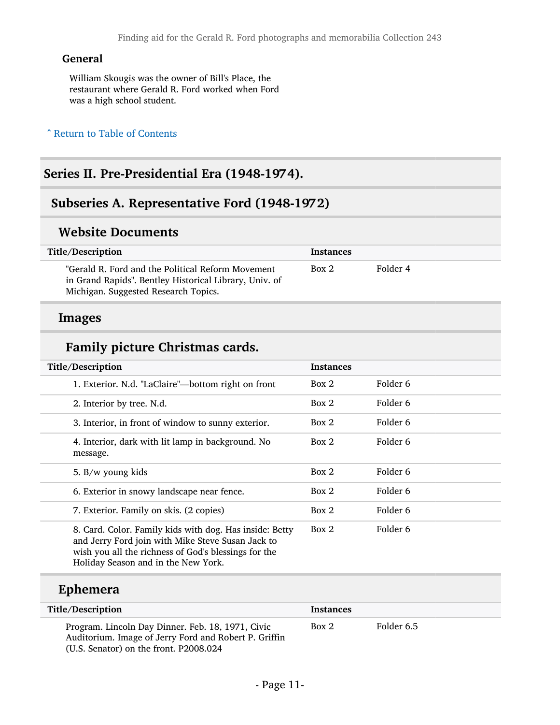#### General

William Skougis was the owner of Bill's Place, the restaurant where Gerald R. Ford worked when Ford was a high school student.

#### ^ [Return to Table of Contents](#page-1-0)

## <span id="page-10-0"></span>Series II. Pre-Presidential Era (1948-1974).

### <span id="page-10-1"></span>Subseries A. Representative Ford (1948-1972)

#### Website Documents

| Title/Description                                                                                                                                   | <b>Instances</b> |          |
|-----------------------------------------------------------------------------------------------------------------------------------------------------|------------------|----------|
| "Gerald R. Ford and the Political Reform Movement<br>in Grand Rapids". Bentley Historical Library, Univ. of<br>Michigan. Suggested Research Topics. | Box 2            | Folder 4 |

#### Images

### Family picture Christmas cards.

| Title/Description                                                                                                                                                                                           | <b>Instances</b> |          |
|-------------------------------------------------------------------------------------------------------------------------------------------------------------------------------------------------------------|------------------|----------|
| 1. Exterior. N.d. "LaClaire"—bottom right on front                                                                                                                                                          | Box 2            | Folder 6 |
| 2. Interior by tree. N.d.                                                                                                                                                                                   | Box 2            | Folder 6 |
| 3. Interior, in front of window to sunny exterior.                                                                                                                                                          | Box 2            | Folder 6 |
| 4. Interior, dark with lit lamp in background. No<br>message.                                                                                                                                               | Box 2            | Folder 6 |
| 5. B/w young kids                                                                                                                                                                                           | Box 2            | Folder 6 |
| 6. Exterior in snowy landscape near fence.                                                                                                                                                                  | Box 2            | Folder 6 |
| 7. Exterior. Family on skis. (2 copies)                                                                                                                                                                     | Box 2            | Folder 6 |
| 8. Card. Color. Family kids with dog. Has inside: Betty<br>and Jerry Ford join with Mike Steve Susan Jack to<br>wish you all the richness of God's blessings for the<br>Holiday Season and in the New York. | Box 2            | Folder 6 |

### Ephemera

| Title/Description                                                                                                                                    | Instances |            |
|------------------------------------------------------------------------------------------------------------------------------------------------------|-----------|------------|
| Program. Lincoln Day Dinner. Feb. 18, 1971, Civic<br>Auditorium. Image of Jerry Ford and Robert P. Griffin<br>(U.S. Senator) on the front. P2008.024 | Box 2     | Folder 6.5 |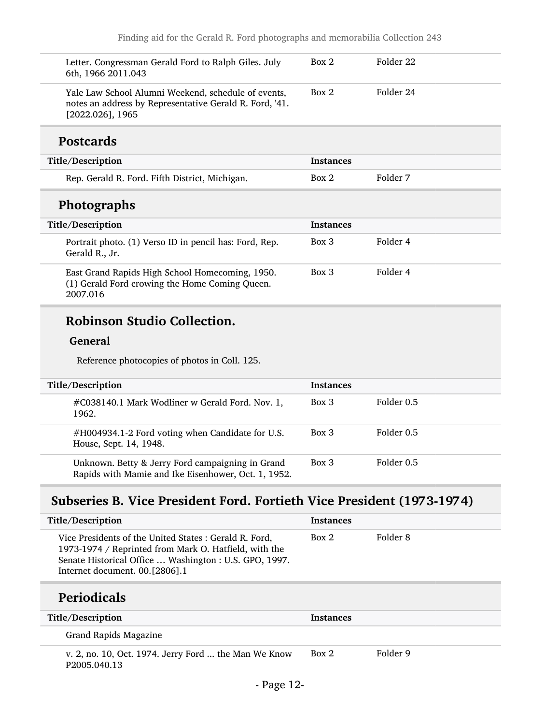| Letter. Congressman Gerald Ford to Ralph Giles. July<br>6th, 1966 2011.043                                                            | Box 2            | Folder 22 |
|---------------------------------------------------------------------------------------------------------------------------------------|------------------|-----------|
| Yale Law School Alumni Weekend, schedule of events,<br>notes an address by Representative Gerald R. Ford, '41.<br>$[2022.026]$ , 1965 | Box 2            | Folder 24 |
| <b>Postcards</b>                                                                                                                      |                  |           |
| Title/Description                                                                                                                     | <b>Instances</b> |           |
| Rep. Gerald R. Ford. Fifth District, Michigan.                                                                                        | Box 2            | Folder 7  |
| <b>Photographs</b>                                                                                                                    |                  |           |
| Title/Description                                                                                                                     | <b>Instances</b> |           |
| Portrait photo. (1) Verso ID in pencil has: Ford, Rep.<br>Gerald R., Jr.                                                              | $Box\ 3$         | Folder 4  |
| East Grand Rapids High School Homecoming, 1950.                                                                                       | Box 3            | Folder 4  |

```
(1) Gerald Ford crowing the Home Coming Queen.
2007.016
```
## Robinson Studio Collection.

#### General

Reference photocopies of photos in Coll. 125.

| Title/Description                                                                                       | <b>Instances</b> |            |
|---------------------------------------------------------------------------------------------------------|------------------|------------|
| #C038140.1 Mark Wodliner w Gerald Ford. Nov. 1,<br>1962.                                                | $Box\ 3$         | Folder 0.5 |
| #H004934.1-2 Ford voting when Candidate for U.S.<br>House, Sept. 14, 1948.                              | Box 3            | Folder 0.5 |
| Unknown. Betty & Jerry Ford campaigning in Grand<br>Rapids with Mamie and Ike Eisenhower, Oct. 1, 1952. | Box 3            | Folder 0.5 |

## <span id="page-11-0"></span>Subseries B. Vice President Ford. Fortieth Vice President (1973-1974)

| Title/Description                                                                                                                                                                                                       | <b>Instances</b> |          |
|-------------------------------------------------------------------------------------------------------------------------------------------------------------------------------------------------------------------------|------------------|----------|
| Vice Presidents of the United States : Gerald R. Ford,<br>1973-1974 / Reprinted from Mark O. Hatfield, with the<br>Senate Historical Office  Washington : U.S. GPO, 1997.<br>Internet document. 00. <sup>[2806].1</sup> | Box 2            | Folder 8 |
| <b>Periodicals</b>                                                                                                                                                                                                      |                  |          |
|                                                                                                                                                                                                                         |                  |          |
| Title/Description                                                                                                                                                                                                       | <b>Instances</b> |          |
| Grand Rapids Magazine                                                                                                                                                                                                   |                  |          |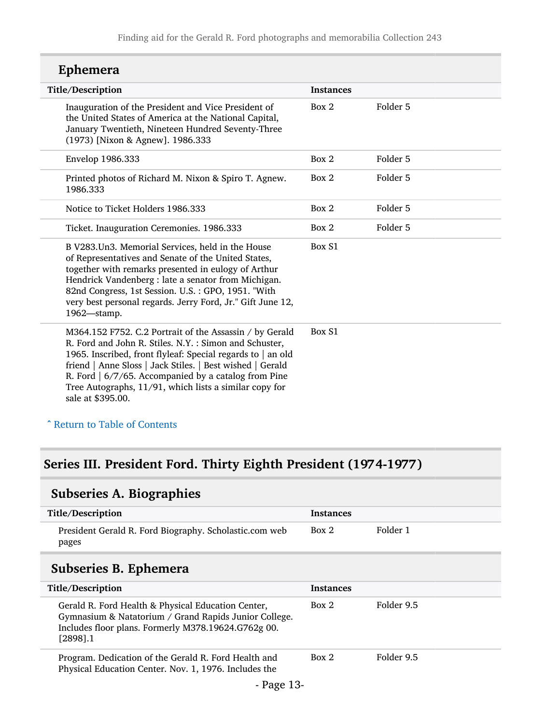| Ephemera |
|----------|
|----------|

| Title/Description                                                                                                                                                                                                                                                                                                                                                                   | <b>Instances</b> |          |
|-------------------------------------------------------------------------------------------------------------------------------------------------------------------------------------------------------------------------------------------------------------------------------------------------------------------------------------------------------------------------------------|------------------|----------|
| Inauguration of the President and Vice President of<br>the United States of America at the National Capital,<br>January Twentieth, Nineteen Hundred Seventy-Three<br>(1973) [Nixon & Agnew]. 1986.333                                                                                                                                                                               | Box 2            | Folder 5 |
| Envelop 1986.333                                                                                                                                                                                                                                                                                                                                                                    | Box 2            | Folder 5 |
| Printed photos of Richard M. Nixon & Spiro T. Agnew.<br>1986.333                                                                                                                                                                                                                                                                                                                    | Box 2            | Folder 5 |
| Notice to Ticket Holders 1986.333                                                                                                                                                                                                                                                                                                                                                   | Box 2            | Folder 5 |
| Ticket. Inauguration Ceremonies. 1986.333                                                                                                                                                                                                                                                                                                                                           | Box 2            | Folder 5 |
| B V283. Un3. Memorial Services, held in the House<br>of Representatives and Senate of the United States,<br>together with remarks presented in eulogy of Arthur<br>Hendrick Vandenberg : late a senator from Michigan.<br>82nd Congress, 1st Session. U.S.: GPO, 1951. "With<br>very best personal regards. Jerry Ford, Jr." Gift June 12,<br>1962-stamp.                           | Box S1           |          |
| M364.152 F752. C.2 Portrait of the Assassin / by Gerald<br>R. Ford and John R. Stiles. N.Y.: Simon and Schuster,<br>1965. Inscribed, front flyleaf: Special regards to   an old<br>friend   Anne Sloss   Jack Stiles.   Best wished   Gerald<br>R. Ford   6/7/65. Accompanied by a catalog from Pine<br>Tree Autographs, 11/91, which lists a similar copy for<br>sale at \$395.00. | Box S1           |          |

### ^ [Return to Table of Contents](#page-1-0)

## <span id="page-12-0"></span>Series III. President Ford. Thirty Eighth President (1974-1977)

## <span id="page-12-1"></span>Subseries A. Biographies

<span id="page-12-2"></span>

| Title/Description                                                                                                                                                                 | <b>Instances</b> |            |
|-----------------------------------------------------------------------------------------------------------------------------------------------------------------------------------|------------------|------------|
| President Gerald R. Ford Biography. Scholastic.com web<br>pages                                                                                                                   | Box 2            | Folder 1   |
| Subseries B. Ephemera                                                                                                                                                             |                  |            |
| Title/Description                                                                                                                                                                 | <b>Instances</b> |            |
| Gerald R. Ford Health & Physical Education Center,<br>Gymnasium & Natatorium / Grand Rapids Junior College.<br>Includes floor plans. Formerly M378.19624.G762g 00.<br>$[2898]$ .1 | Box 2            | Folder 9.5 |
| Program. Dedication of the Gerald R. Ford Health and<br>Physical Education Center. Nov. 1, 1976. Includes the                                                                     | Box 2            | Folder 9.5 |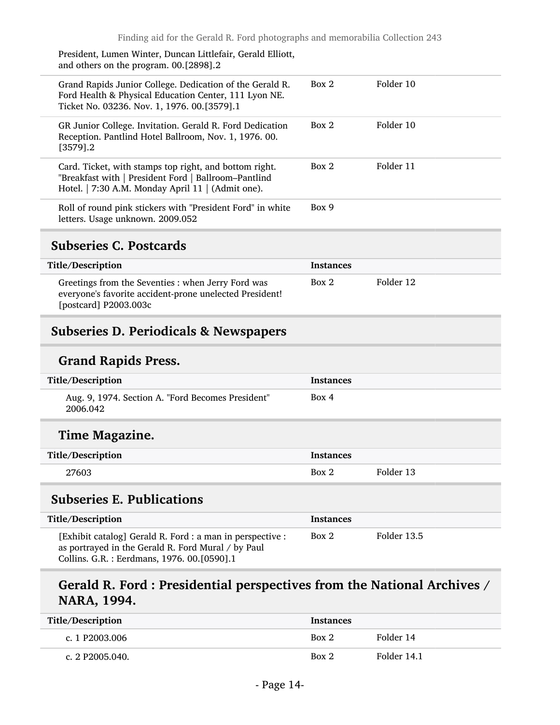| President, Lumen Winter, Duncan Littlefair, Gerald Elliott,<br>and others on the program. 00.[2898].2                                                               |       |           |
|---------------------------------------------------------------------------------------------------------------------------------------------------------------------|-------|-----------|
| Grand Rapids Junior College. Dedication of the Gerald R.<br>Ford Health & Physical Education Center, 111 Lyon NE.<br>Ticket No. 03236. Nov. 1, 1976. 00.[3579].1    | Box 2 | Folder 10 |
| GR Junior College. Invitation. Gerald R. Ford Dedication<br>Reception. Pantlind Hotel Ballroom, Nov. 1, 1976. 00.<br>[3579].2                                       | Box 2 | Folder 10 |
| Card. Ticket, with stamps top right, and bottom right.<br>"Breakfast with   President Ford   Ballroom-Pantlind<br>Hotel.   7:30 A.M. Monday April 11   (Admit one). | Box 2 | Folder 11 |
| Roll of round pink stickers with "President Ford" in white<br>letters. Usage unknown. 2009.052                                                                      | Box 9 |           |

### <span id="page-13-0"></span>Subseries C. Postcards

| Title/Description                                                                                                                      | <b>Instances</b> |           |
|----------------------------------------------------------------------------------------------------------------------------------------|------------------|-----------|
| Greetings from the Seventies : when Jerry Ford was<br>everyone's favorite accident-prone unelected President!<br>[postcard] P2003.003c | Box 2            | Folder 12 |

## <span id="page-13-1"></span>Subseries D. Periodicals & Newspapers

### Grand Rapids Press.

| Title/Description                                             | Instances |
|---------------------------------------------------------------|-----------|
| Aug. 9, 1974. Section A. "Ford Becomes President"<br>2006.042 | Box 4     |

## Time Magazine.

| Title/Description | Instances |           |
|-------------------|-----------|-----------|
| 27603             | Box 2     | Folder 13 |

### <span id="page-13-2"></span>Subseries E. Publications

| Title/Description                                                                                                                                              | <b>Instances</b> |             |
|----------------------------------------------------------------------------------------------------------------------------------------------------------------|------------------|-------------|
| [Exhibit catalog] Gerald R. Ford : a man in perspective :<br>as portrayed in the Gerald R. Ford Mural / by Paul<br>Collins. G.R.: Eerdmans, 1976. 00. [0590].1 | Box 2            | Folder 13.5 |

## Gerald R. Ford : Presidential perspectives from the National Archives / NARA, 1994.

| Title/Description | <b>Instances</b> |             |
|-------------------|------------------|-------------|
| c. 1 P2003.006    | Box 2            | Folder 14   |
| c. 2 P2005.040.   | Box 2            | Folder 14.1 |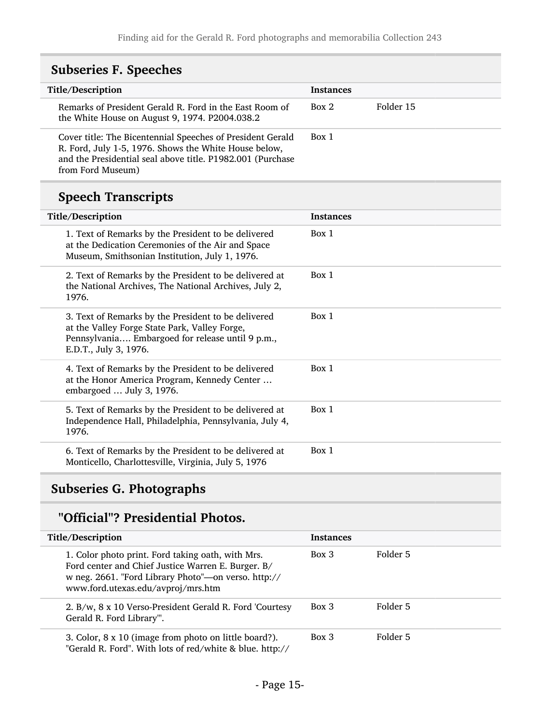<span id="page-14-0"></span>

| <b>Subseries F. Speeches</b>                                                                                                                                                                           |                  |           |
|--------------------------------------------------------------------------------------------------------------------------------------------------------------------------------------------------------|------------------|-----------|
| Title/Description                                                                                                                                                                                      | <b>Instances</b> |           |
| Remarks of President Gerald R. Ford in the East Room of<br>the White House on August 9, 1974. P2004.038.2                                                                                              | Box 2            | Folder 15 |
| Cover title: The Bicentennial Speeches of President Gerald<br>R. Ford, July 1-5, 1976. Shows the White House below,<br>and the Presidential seal above title. P1982.001 (Purchase<br>from Ford Museum) | Box 1            |           |
| <b>Speech Transcripts</b>                                                                                                                                                                              |                  |           |
| Title/Description                                                                                                                                                                                      | <b>Instances</b> |           |
| 1. Text of Remarks by the President to be delivered<br>at the Dedication Ceremonies of the Air and Space<br>Museum, Smithsonian Institution, July 1, 1976.                                             | Box 1            |           |
| 2. Text of Remarks by the President to be delivered at<br>the National Archives, The National Archives, July 2,<br>1976.                                                                               | Box 1            |           |
| 3. Text of Remarks by the President to be delivered<br>at the Valley Forge State Park, Valley Forge,<br>Pennsylvania Embargoed for release until 9 p.m.,<br>E.D.T., July 3, 1976.                      | Box 1            |           |
| 4. Text of Remarks by the President to be delivered<br>at the Honor America Program, Kennedy Center<br>embargoed  July 3, 1976.                                                                        | Box 1            |           |
| 5. Text of Remarks by the President to be delivered at<br>Independence Hall, Philadelphia, Pennsylvania, July 4,<br>1976.                                                                              | Box 1            |           |
| 6. Text of Remarks by the President to be delivered at<br>Monticello, Charlottesville, Virginia, July 5, 1976                                                                                          | Box 1            |           |

## <span id="page-14-1"></span>Subseries G. Photographs

## "Official"? Presidential Photos.

| Title/Description                                                                                                                                                                                    | <b>Instances</b> |          |
|------------------------------------------------------------------------------------------------------------------------------------------------------------------------------------------------------|------------------|----------|
| 1. Color photo print. Ford taking oath, with Mrs.<br>Ford center and Chief Justice Warren E. Burger. B/<br>w neg. 2661. "Ford Library Photo"-on verso. http://<br>www.ford.utexas.edu/avproj/mrs.htm | $Box\ 3$         | Folder 5 |
| 2. B/w, 8 x 10 Verso-President Gerald R. Ford 'Courtesy<br>Gerald R. Ford Library"'.                                                                                                                 | $Box\ 3$         | Folder 5 |
| 3. Color, 8 x 10 (image from photo on little board?).<br>"Gerald R. Ford". With lots of red/white & blue. http://                                                                                    | $Box\ 3$         | Folder 5 |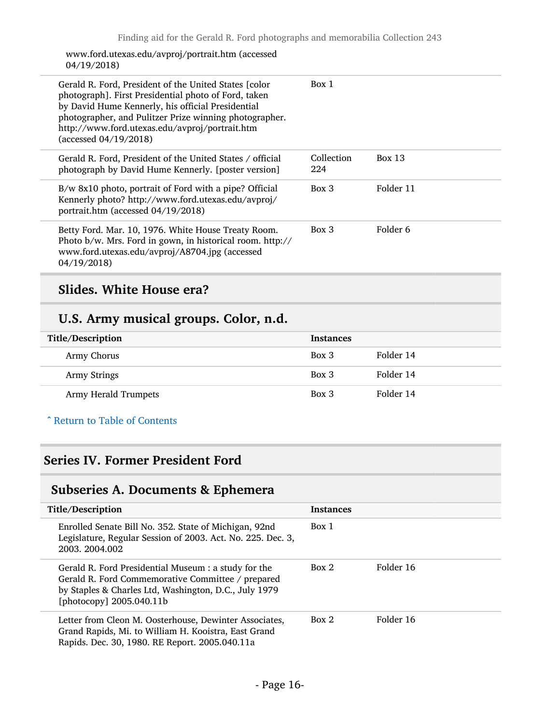#### www.ford.utexas.edu/avproj/portrait.htm (accessed 04/19/2018)

| Gerald R. Ford, President of the United States [color]<br>photograph]. First Presidential photo of Ford, taken<br>by David Hume Kennerly, his official Presidential<br>photographer, and Pulitzer Prize winning photographer.<br>http://www.ford.utexas.edu/avproj/portrait.htm<br>(accessed 04/19/2018) | Box 1             |               |
|----------------------------------------------------------------------------------------------------------------------------------------------------------------------------------------------------------------------------------------------------------------------------------------------------------|-------------------|---------------|
| Gerald R. Ford, President of the United States / official<br>photograph by David Hume Kennerly. [poster version]                                                                                                                                                                                         | Collection<br>224 | <b>Box 13</b> |
| B/w 8x10 photo, portrait of Ford with a pipe? Official<br>Kennerly photo? http://www.ford.utexas.edu/avproj/<br>portrait.htm (accessed 04/19/2018)                                                                                                                                                       | $Box\ 3$          | Folder 11     |
| Betty Ford. Mar. 10, 1976. White House Treaty Room.<br>Photo b/w. Mrs. Ford in gown, in historical room. http://<br>www.ford.utexas.edu/avproj/A8704.jpg (accessed<br>04/19/2018                                                                                                                         | $Box$ 3           | Folder 6      |

## Slides. White House era?

## U.S. Army musical groups. Color, n.d.

| Title/Description    | <b>Instances</b> |           |
|----------------------|------------------|-----------|
| Army Chorus          | Box 3            | Folder 14 |
| Army Strings         | Box 3            | Folder 14 |
| Army Herald Trumpets | Box 3            | Folder 14 |

### ^ [Return to Table of Contents](#page-1-0)

## <span id="page-15-0"></span>Series IV. Former President Ford

## <span id="page-15-1"></span>Subseries A. Documents & Ephemera

| Title/Description                                                                                                                                                                                | <b>Instances</b> |           |
|--------------------------------------------------------------------------------------------------------------------------------------------------------------------------------------------------|------------------|-----------|
| Enrolled Senate Bill No. 352. State of Michigan, 92nd<br>Legislature, Regular Session of 2003. Act. No. 225. Dec. 3,<br>2003. 2004.002                                                           | Box 1            |           |
| Gerald R. Ford Presidential Museum : a study for the<br>Gerald R. Ford Commemorative Committee / prepared<br>by Staples & Charles Ltd, Washington, D.C., July 1979<br>[photocopy] $2005.040.11b$ | Box 2            | Folder 16 |
| Letter from Cleon M. Oosterhouse, Dewinter Associates,<br>Grand Rapids, Mi. to William H. Kooistra, East Grand<br>Rapids. Dec. 30, 1980. RE Report. 2005.040.11a                                 | Box 2            | Folder 16 |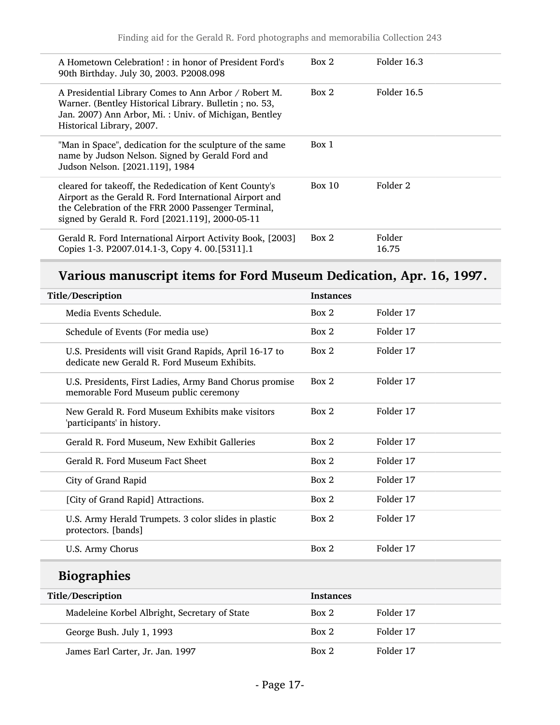| A Hometown Celebration!: in honor of President Ford's<br>90th Birthday. July 30, 2003. P2008.098                                                                                                                            | Box 2  | Folder 16.3     |
|-----------------------------------------------------------------------------------------------------------------------------------------------------------------------------------------------------------------------------|--------|-----------------|
| A Presidential Library Comes to Ann Arbor / Robert M.<br>Warner. (Bentley Historical Library. Bulletin; no. 53,<br>Jan. 2007) Ann Arbor, Mi.: Univ. of Michigan, Bentley<br>Historical Library, 2007.                       | Box 2  | Folder 16.5     |
| "Man in Space", dedication for the sculpture of the same<br>name by Judson Nelson. Signed by Gerald Ford and<br>Judson Nelson. [2021.119], 1984                                                                             | Box 1  |                 |
| cleared for takeoff, the Rededication of Kent County's<br>Airport as the Gerald R. Ford International Airport and<br>the Celebration of the FRR 2000 Passenger Terminal,<br>signed by Gerald R. Ford [2021.119], 2000-05-11 | Box 10 | Folder 2        |
| Gerald R. Ford International Airport Activity Book, [2003]<br>Copies 1-3. P2007.014.1-3, Copy 4. 00.[5311].1                                                                                                                | Box 2  | Folder<br>16.75 |

## Various manuscript items for Ford Museum Dedication, Apr. 16, 1997.

| Title/Description                                                                                       | <b>Instances</b> |           |
|---------------------------------------------------------------------------------------------------------|------------------|-----------|
| Media Events Schedule.                                                                                  | Box 2            | Folder 17 |
| Schedule of Events (For media use)                                                                      | Box 2            | Folder 17 |
| U.S. Presidents will visit Grand Rapids, April 16-17 to<br>dedicate new Gerald R. Ford Museum Exhibits. | Box 2            | Folder 17 |
| U.S. Presidents, First Ladies, Army Band Chorus promise<br>memorable Ford Museum public ceremony        | Box 2            | Folder 17 |
| New Gerald R. Ford Museum Exhibits make visitors<br>'participants' in history.                          | Box 2            | Folder 17 |
| Gerald R. Ford Museum, New Exhibit Galleries                                                            | Box 2            | Folder 17 |
| Gerald R. Ford Museum Fact Sheet                                                                        | Box 2            | Folder 17 |
| City of Grand Rapid                                                                                     | Box 2            | Folder 17 |
| [City of Grand Rapid] Attractions.                                                                      | Box 2            | Folder 17 |
| U.S. Army Herald Trumpets. 3 color slides in plastic<br>protectors. [bands]                             | Box 2            | Folder 17 |
| U.S. Army Chorus                                                                                        | Box 2            | Folder 17 |
| <b>Biographies</b>                                                                                      |                  |           |
| Title/Description                                                                                       | <b>Instances</b> |           |
| Madeleine Korbel Albright, Secretary of State                                                           | Box 2            | Folder 17 |
| George Bush. July 1, 1993                                                                               | Box 2            | Folder 17 |
| James Earl Carter, Jr. Jan. 1997                                                                        | Box 2            | Folder 17 |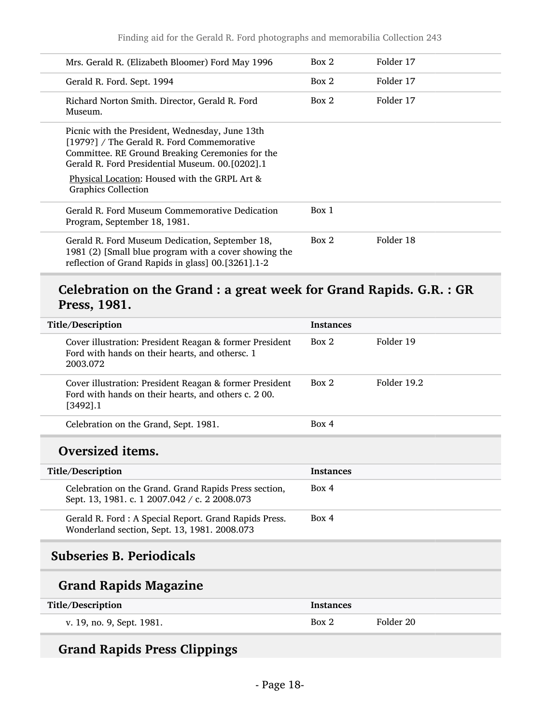| Mrs. Gerald R. (Elizabeth Bloomer) Ford May 1996                                                                                                                                                     | Box 2 | Folder 17 |
|------------------------------------------------------------------------------------------------------------------------------------------------------------------------------------------------------|-------|-----------|
| Gerald R. Ford. Sept. 1994                                                                                                                                                                           | Box 2 | Folder 17 |
| Richard Norton Smith. Director, Gerald R. Ford<br>Museum.                                                                                                                                            | Box 2 | Folder 17 |
| Picnic with the President, Wednesday, June 13th<br>[1979?] / The Gerald R. Ford Commemorative<br>Committee. RE Ground Breaking Ceremonies for the<br>Gerald R. Ford Presidential Museum. 00.[0202].1 |       |           |
| Physical Location: Housed with the GRPL Art &<br><b>Graphics Collection</b>                                                                                                                          |       |           |
| Gerald R. Ford Museum Commemorative Dedication<br>Program, September 18, 1981.                                                                                                                       | Box 1 |           |
| Gerald R. Ford Museum Dedication, September 18,<br>1981 (2) [Small blue program with a cover showing the<br>reflection of Grand Rapids in glass] 00.[3261].1-2                                       | Box 2 | Folder 18 |

## Celebration on the Grand : a great week for Grand Rapids. G.R. : GR Press, 1981.

| <b>Title/Description</b>                                                                                                      | <b>Instances</b> |             |
|-------------------------------------------------------------------------------------------------------------------------------|------------------|-------------|
| Cover illustration: President Reagan & former President<br>Ford with hands on their hearts, and othersc. 1<br>2003.072        | Box 2            | Folder 19   |
| Cover illustration: President Reagan & former President<br>Ford with hands on their hearts, and others c. 200.<br>$[3492]$ .1 | Box 2            | Folder 19.2 |
| Celebration on the Grand, Sept. 1981.                                                                                         | Box 4            |             |
| Oversized items.                                                                                                              |                  |             |
| <b>Title/Description</b>                                                                                                      | <b>Instances</b> |             |
| Celebration on the Grand. Grand Rapids Press section,<br>Sept. 13, 1981. c. 1 2007.042 / c. 2 2008.073                        | Box 4            |             |
| Gerald R. Ford : A Special Report. Grand Rapids Press.<br>Wonderland section, Sept. 13, 1981. 2008.073                        | Box 4            |             |
| <b>Subseries B. Periodicals</b>                                                                                               |                  |             |
| <b>Grand Rapids Magazine</b>                                                                                                  |                  |             |
| Title/Description                                                                                                             | <b>Instances</b> |             |
| v. 19, no. 9, Sept. 1981.                                                                                                     | Box 2            | Folder 20   |
|                                                                                                                               |                  |             |

## <span id="page-17-0"></span>Grand Rapids Press Clippings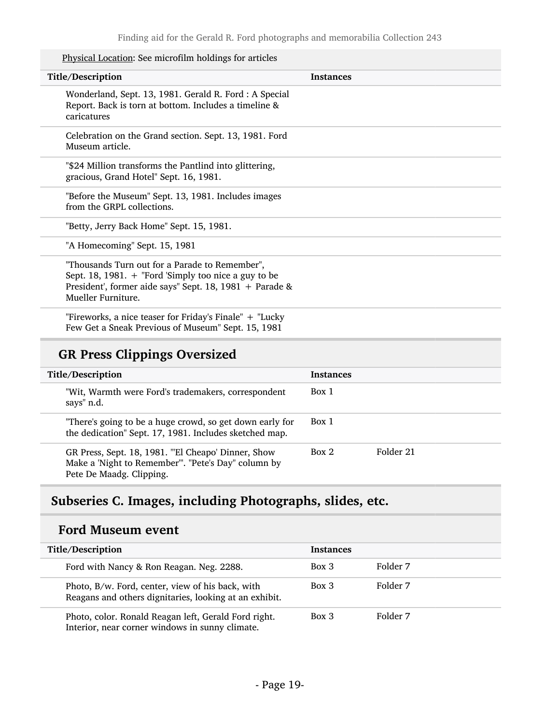Physical Location: See microfilm holdings for articles

| Title/Description                                                                                                                                                                         | <b>Instances</b> |
|-------------------------------------------------------------------------------------------------------------------------------------------------------------------------------------------|------------------|
| Wonderland, Sept. 13, 1981. Gerald R. Ford: A Special<br>Report. Back is torn at bottom. Includes a timeline &<br>caricatures                                                             |                  |
| Celebration on the Grand section. Sept. 13, 1981. Ford<br>Museum article.                                                                                                                 |                  |
| "\$24 Million transforms the Pantlind into glittering,<br>gracious, Grand Hotel" Sept. 16, 1981.                                                                                          |                  |
| "Before the Museum" Sept. 13, 1981. Includes images<br>from the GRPL collections.                                                                                                         |                  |
| "Betty, Jerry Back Home" Sept. 15, 1981.                                                                                                                                                  |                  |
| "A Homecoming" Sept. 15, 1981                                                                                                                                                             |                  |
| "Thousands Turn out for a Parade to Remember",<br>Sept. 18, 1981. $+$ "Ford 'Simply too nice a guy to be<br>President', former aide says" Sept. 18, 1981 + Parade &<br>Mueller Furniture. |                  |
| "Fireworks, a nice teaser for Friday's Finale" $+$ "Lucky"<br>Few Get a Sneak Previous of Museum" Sept. 15, 1981                                                                          |                  |
|                                                                                                                                                                                           |                  |

## GR Press Clippings Oversized

| Title/Description                                                                                                                     | <b>Instances</b>   |
|---------------------------------------------------------------------------------------------------------------------------------------|--------------------|
| "Wit, Warmth were Ford's trademakers, correspondent<br>says" n.d.                                                                     | Box 1              |
| "There's going to be a huge crowd, so get down early for<br>the dedication" Sept. 17, 1981. Includes sketched map.                    | Box 1              |
| GR Press, Sept. 18, 1981. "El Cheapo' Dinner, Show<br>Make a 'Night to Remember'". "Pete's Day" column by<br>Pete De Maadg. Clipping. | Folder 21<br>Box 2 |

## <span id="page-18-0"></span>Subseries C. Images, including Photographs, slides, etc.

### Ford Museum event

| Title/Description                                                                                          | <b>Instances</b> |          |
|------------------------------------------------------------------------------------------------------------|------------------|----------|
| Ford with Nancy & Ron Reagan. Neg. 2288.                                                                   | Box 3            | Folder 7 |
| Photo, B/w. Ford, center, view of his back, with<br>Reagans and others dignitaries, looking at an exhibit. | Box 3            | Folder 7 |
| Photo, color. Ronald Reagan left, Gerald Ford right.<br>Interior, near corner windows in sunny climate.    | Box 3            | Folder 7 |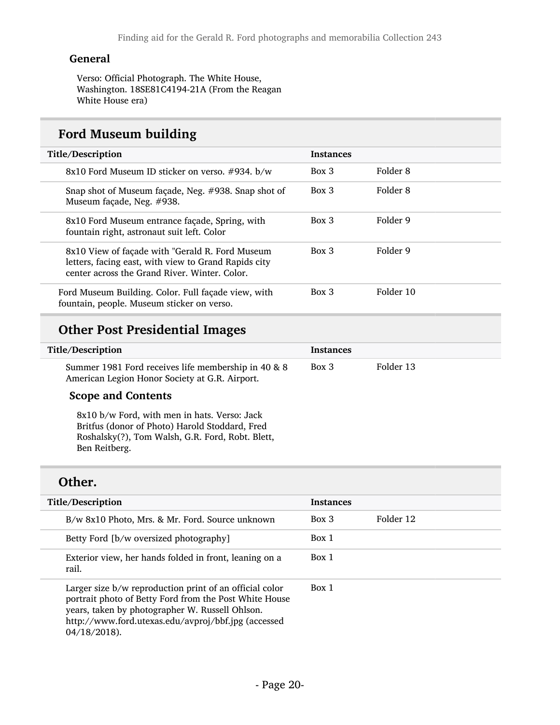#### General

Verso: Official Photograph. The White House, Washington. 18SE81C4194-21A (From the Reagan White House era)

## Ford Museum building

| Title/Description                                                                                                                                        | <b>Instances</b> |           |
|----------------------------------------------------------------------------------------------------------------------------------------------------------|------------------|-----------|
| 8x10 Ford Museum ID sticker on verso. #934. b/w                                                                                                          | $Box$ 3          | Folder 8  |
| Snap shot of Museum façade, Neg. #938. Snap shot of<br>Museum façade, Neg. #938.                                                                         | $Box$ 3          | Folder 8  |
| 8x10 Ford Museum entrance façade, Spring, with<br>fountain right, astronaut suit left. Color                                                             | $Box\ 3$         | Folder 9  |
| 8x10 View of façade with "Gerald R. Ford Museum<br>letters, facing east, with view to Grand Rapids city<br>center across the Grand River, Winter, Color, | $Box$ 3          | Folder 9  |
| Ford Museum Building. Color. Full façade view, with<br>fountain, people. Museum sticker on verso.                                                        | $Box$ 3          | Folder 10 |

## Other Post Presidential Images

| Title/Description                                                                                     | Instances |           |
|-------------------------------------------------------------------------------------------------------|-----------|-----------|
| Summer 1981 Ford receives life membership in 40 & 8<br>American Legion Honor Society at G.R. Airport. | Box 3     | Folder 13 |

#### Scope and Contents

8x10 b/w Ford, with men in hats. Verso: Jack Britfus (donor of Photo) Harold Stoddard, Fred Roshalsky(?), Tom Walsh, G.R. Ford, Robt. Blett, Ben Reitberg.

### Other.

| Title/Description                                                                                                                                                                                                                              | <b>Instances</b> |           |
|------------------------------------------------------------------------------------------------------------------------------------------------------------------------------------------------------------------------------------------------|------------------|-----------|
| B/w 8x10 Photo, Mrs. & Mr. Ford. Source unknown                                                                                                                                                                                                | Box 3            | Folder 12 |
| Betty Ford [b/w oversized photography]                                                                                                                                                                                                         | Box 1            |           |
| Exterior view, her hands folded in front, leaning on a<br>rail.                                                                                                                                                                                | Box 1            |           |
| Larger size b/w reproduction print of an official color<br>portrait photo of Betty Ford from the Post White House<br>years, taken by photographer W. Russell Ohlson.<br>http://www.ford.utexas.edu/avproj/bbf.jpg (accessed<br>$04/18/2018$ ). | Box 1            |           |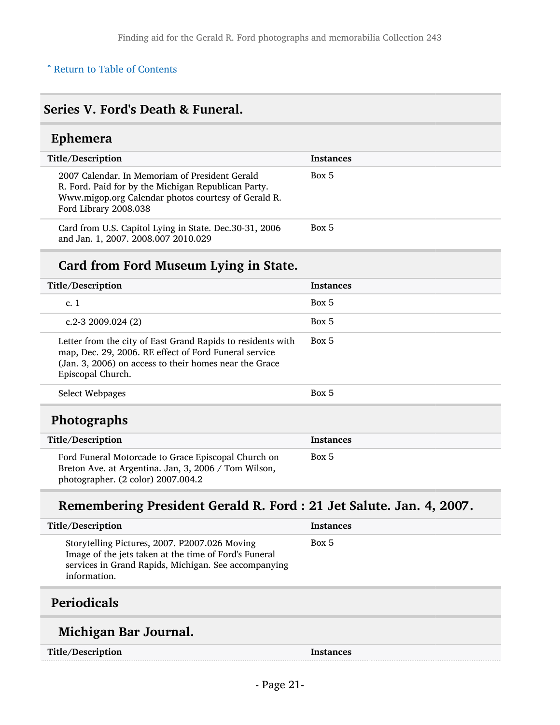#### ^ [Return to Table of Contents](#page-1-0)

## <span id="page-20-0"></span>Series V. Ford's Death & Funeral.

## <span id="page-20-1"></span>Ephemera

| Title/Description                                                                                                                                                                     | <b>Instances</b> |
|---------------------------------------------------------------------------------------------------------------------------------------------------------------------------------------|------------------|
| 2007 Calendar. In Memoriam of President Gerald<br>R. Ford. Paid for by the Michigan Republican Party.<br>Www.migop.org Calendar photos courtesy of Gerald R.<br>Ford Library 2008.038 | Box 5            |
| Card from U.S. Capitol Lying in State. Dec.30-31, 2006<br>and Jan. 1, 2007. 2008.007 2010.029                                                                                         | Box 5            |

## Card from Ford Museum Lying in State.

| Title/Description                                                                                                                                                                                   | <b>Instances</b> |
|-----------------------------------------------------------------------------------------------------------------------------------------------------------------------------------------------------|------------------|
| c.1                                                                                                                                                                                                 | Box 5            |
| c.2-3 2009.024 $(2)$                                                                                                                                                                                | Box 5            |
| Letter from the city of East Grand Rapids to residents with<br>map, Dec. 29, 2006. RE effect of Ford Funeral service<br>(Jan. 3, 2006) on access to their homes near the Grace<br>Episcopal Church. | Box 5            |
| Select Webpages                                                                                                                                                                                     | Box 5            |
| <b>Photographs</b>                                                                                                                                                                                  |                  |
| Title/Description                                                                                                                                                                                   | <b>Instances</b> |
| Ford Funeral Motorcade to Grace Episcopal Church on<br>Breton Ave. at Argentina. Jan, 3, 2006 / Tom Wilson,<br>photographer. (2 color) 2007.004.2                                                   | Box 5            |

## <span id="page-20-2"></span>Remembering President Gerald R. Ford : 21 Jet Salute. Jan. 4, 2007.

| <b>Title/Description</b>                                                                                                                                                       | <b>Instances</b> |
|--------------------------------------------------------------------------------------------------------------------------------------------------------------------------------|------------------|
| Storytelling Pictures, 2007. P2007.026 Moving<br>Image of the jets taken at the time of Ford's Funeral<br>services in Grand Rapids, Michigan. See accompanying<br>information. | Box 5            |

## <span id="page-20-3"></span>Periodicals

## Michigan Bar Journal.

Title/Description Instances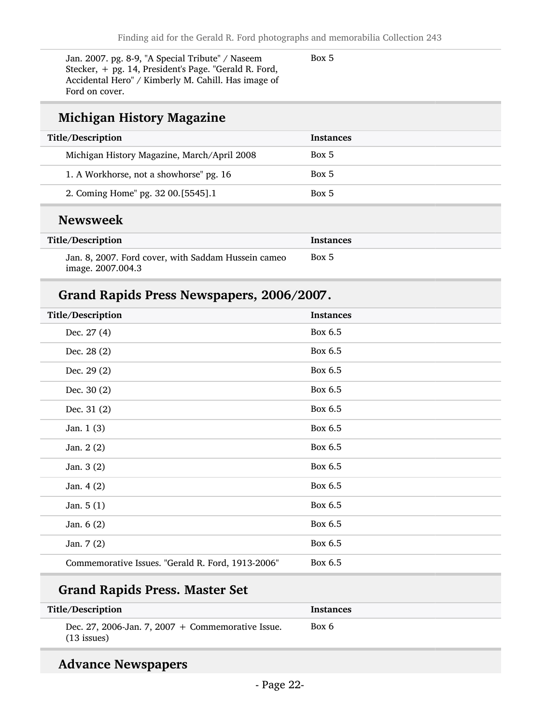Jan. 2007. pg. 8-9, "A Special Tribute" / Naseem Stecker, + pg. 14, President's Page. "Gerald R. Ford, Accidental Hero" / Kimberly M. Cahill. Has image of Ford on cover.

Box 5

## Michigan History Magazine

| Title/Description                           | <b>Instances</b> |
|---------------------------------------------|------------------|
| Michigan History Magazine, March/April 2008 | Box 5            |
| 1. A Workhorse, not a showhorse" pg. 16     | Box 5            |
| 2. Coming Home" pg. 32 00.[5545].1          | Box 5            |
| <b>Newsweek</b>                             |                  |
| Title/Description                           | Instances        |

| Title/Description                                   | Instances |
|-----------------------------------------------------|-----------|
| Jan. 8, 2007. Ford cover, with Saddam Hussein cameo | Box 5     |
| image. 2007.004.3                                   |           |

## Grand Rapids Press Newspapers, 2006/2007.

| <b>Instances</b> |
|------------------|
| Box 6.5          |
| Box 6.5          |
| Box 6.5          |
| Box 6.5          |
| Box 6.5          |
| Box 6.5          |
| Box 6.5          |
| Box 6.5          |
| Box 6.5          |
| Box 6.5          |
| Box 6.5          |
| Box 6.5          |
| Box 6.5          |
|                  |

## Grand Rapids Press. Master Set

| Title/Description                                                    | <b>Instances</b> |
|----------------------------------------------------------------------|------------------|
| Dec. 27, 2006-Jan. 7, 2007 $+$ Commemorative Issue.<br>$(13$ issues) | Box 6            |

## Advance Newspapers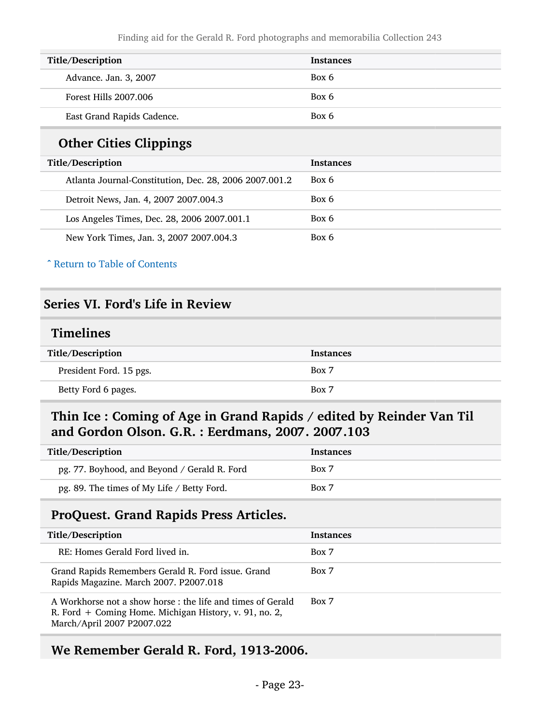| <b>Title/Description</b>   | <b>Instances</b> |
|----------------------------|------------------|
| Advance. Jan. 3, 2007      | Box 6            |
| Forest Hills 2007.006      | Box 6            |
| East Grand Rapids Cadence. | Box 6            |

## Other Cities Clippings

| Title/Description                                      | <b>Instances</b> |
|--------------------------------------------------------|------------------|
| Atlanta Journal-Constitution, Dec. 28, 2006 2007.001.2 | Box 6            |
| Detroit News, Jan. 4, 2007 2007.004.3                  | Box 6            |
| Los Angeles Times, Dec. 28, 2006 2007.001.1            | Box 6            |
| New York Times, Jan. 3, 2007 2007.004.3                | Box 6            |

^ [Return to Table of Contents](#page-1-0)

## <span id="page-22-0"></span>Series VI. Ford's Life in Review

### <span id="page-22-1"></span>Timelines

| Title/Description       | <b>Instances</b> |
|-------------------------|------------------|
| President Ford. 15 pgs. | Box 7            |
| Betty Ford 6 pages.     | Box 7            |

### <span id="page-22-2"></span>Thin Ice : Coming of Age in Grand Rapids / edited by Reinder Van Til and Gordon Olson. G.R. : Eerdmans, 2007. 2007.103

| Title/Description                            | <b>Instances</b> |
|----------------------------------------------|------------------|
| pg. 77. Boyhood, and Beyond / Gerald R. Ford | Box 7            |
| pg. 89. The times of My Life / Betty Ford.   | Box 7            |

### <span id="page-22-3"></span>ProQuest. Grand Rapids Press Articles.

| Title/Description                                                                                                                                   | <b>Instances</b> |
|-----------------------------------------------------------------------------------------------------------------------------------------------------|------------------|
| RE: Homes Gerald Ford lived in.                                                                                                                     | Box 7            |
| Grand Rapids Remembers Gerald R. Ford issue. Grand<br>Rapids Magazine. March 2007. P2007.018                                                        | Box 7            |
| A Workhorse not a show horse : the life and times of Gerald<br>R. Ford + Coming Home. Michigan History, v. 91, no. 2,<br>March/April 2007 P2007.022 | Box 7            |

### <span id="page-22-4"></span>We Remember Gerald R. Ford, 1913-2006.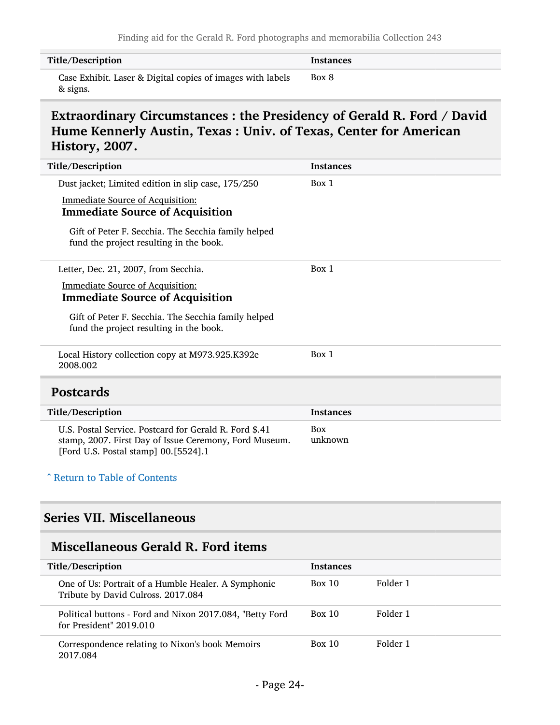| Title/Description                                                      | <b>Instances</b> |
|------------------------------------------------------------------------|------------------|
| Case Exhibit. Laser & Digital copies of images with labels<br>& signs. | Box 8            |

### <span id="page-23-0"></span>Extraordinary Circumstances : the Presidency of Gerald R. Ford / David Hume Kennerly Austin, Texas : Univ. of Texas, Center for American History, 2007.

| Dust jacket; Limited edition in slip case, 175/250<br>Box 1<br><b>Immediate Source of Acquisition:</b><br><b>Immediate Source of Acquisition</b><br>Gift of Peter F. Secchia. The Secchia family helped<br>fund the project resulting in the book.<br>Box 1<br>Letter, Dec. 21, 2007, from Secchia.<br><b>Immediate Source of Acquisition:</b><br><b>Immediate Source of Acquisition</b><br>Gift of Peter F. Secchia. The Secchia family helped<br>fund the project resulting in the book.<br>Local History collection copy at M973.925.K392e<br>Box 1<br>2008.002<br><b>Postcards</b><br>Title/Description<br><b>Instances</b><br>U.S. Postal Service, Postcard for Gerald R. Ford \$.41<br><b>Box</b><br>unknown<br>stamp, 2007. First Day of Issue Ceremony, Ford Museum. | Title/Description | <b>Instances</b> |
|------------------------------------------------------------------------------------------------------------------------------------------------------------------------------------------------------------------------------------------------------------------------------------------------------------------------------------------------------------------------------------------------------------------------------------------------------------------------------------------------------------------------------------------------------------------------------------------------------------------------------------------------------------------------------------------------------------------------------------------------------------------------------|-------------------|------------------|
|                                                                                                                                                                                                                                                                                                                                                                                                                                                                                                                                                                                                                                                                                                                                                                              |                   |                  |
|                                                                                                                                                                                                                                                                                                                                                                                                                                                                                                                                                                                                                                                                                                                                                                              |                   |                  |
|                                                                                                                                                                                                                                                                                                                                                                                                                                                                                                                                                                                                                                                                                                                                                                              |                   |                  |
|                                                                                                                                                                                                                                                                                                                                                                                                                                                                                                                                                                                                                                                                                                                                                                              |                   |                  |
|                                                                                                                                                                                                                                                                                                                                                                                                                                                                                                                                                                                                                                                                                                                                                                              |                   |                  |
|                                                                                                                                                                                                                                                                                                                                                                                                                                                                                                                                                                                                                                                                                                                                                                              |                   |                  |
|                                                                                                                                                                                                                                                                                                                                                                                                                                                                                                                                                                                                                                                                                                                                                                              |                   |                  |
|                                                                                                                                                                                                                                                                                                                                                                                                                                                                                                                                                                                                                                                                                                                                                                              |                   |                  |
|                                                                                                                                                                                                                                                                                                                                                                                                                                                                                                                                                                                                                                                                                                                                                                              |                   |                  |
|                                                                                                                                                                                                                                                                                                                                                                                                                                                                                                                                                                                                                                                                                                                                                                              |                   |                  |
|                                                                                                                                                                                                                                                                                                                                                                                                                                                                                                                                                                                                                                                                                                                                                                              |                   |                  |
|                                                                                                                                                                                                                                                                                                                                                                                                                                                                                                                                                                                                                                                                                                                                                                              |                   |                  |
|                                                                                                                                                                                                                                                                                                                                                                                                                                                                                                                                                                                                                                                                                                                                                                              |                   |                  |
|                                                                                                                                                                                                                                                                                                                                                                                                                                                                                                                                                                                                                                                                                                                                                                              |                   |                  |
| [Ford U.S. Postal stamp] 00.[5524].1                                                                                                                                                                                                                                                                                                                                                                                                                                                                                                                                                                                                                                                                                                                                         |                   |                  |

#### <span id="page-23-1"></span>^ [Return to Table of Contents](#page-1-0)

L

## <span id="page-23-2"></span>Series VII. Miscellaneous

## <span id="page-23-3"></span>Miscellaneous Gerald R. Ford items

| Title/Description                                                                         | <b>Instances</b> |          |
|-------------------------------------------------------------------------------------------|------------------|----------|
| One of Us: Portrait of a Humble Healer. A Symphonic<br>Tribute by David Culross. 2017.084 | <b>Box 10</b>    | Folder 1 |
| Political buttons - Ford and Nixon 2017.084, "Betty Ford<br>for President" 2019.010       | Box 10           | Folder 1 |
| Correspondence relating to Nixon's book Memoirs<br>2017.084                               | Box 10           | Folder 1 |